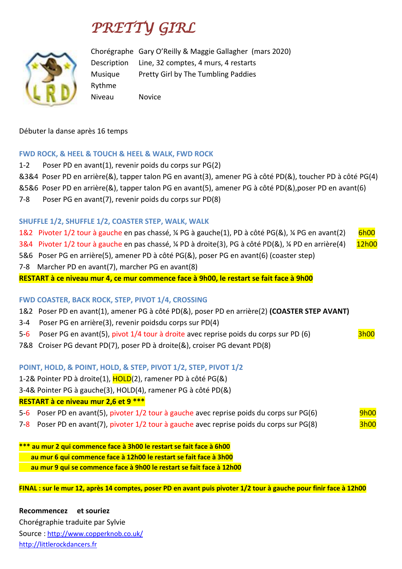# *PRETTY GIRL*



Chorégraphe Gary O'Reilly & Maggie Gallagher (mars 2020) Description Line, 32 comptes, 4 murs, 4 restarts Musique Pretty Girl by The Tumbling Paddies Rythme Niveau Novice

Débuter la danse après 16 temps

## **FWD ROCK, & HEEL & TOUCH & HEEL & WALK, FWD ROCK**

- 1-2 Poser PD en avant(1), revenir poids du corps sur PG(2)
- &3&4 Poser PD en arrière(&), tapper talon PG en avant(3), amener PG à côté PD(&), toucher PD à côté PG(4)
- &5&6 Poser PD en arrière(&), tapper talon PG en avant(5), amener PG à côté PD(&),poser PD en avant(6)
- 7-8 Poser PG en avant(7), revenir poids du corps sur PD(8)

## **SHUFFLE 1/2, SHUFFLE 1/2, COASTER STEP, WALK, WALK**

- 1&2 Pivoter 1/2 tour à gauche en pas chassé, ¼ PG à gauche(1), PD à côté PG(&), ¼ PG en avant(2) 6h00
- 3&4 Pivoter 1/2 tour à gauche en pas chassé, ¼ PD à droite(3), PG à côté PD(&), ¼ PD en arrière(4) 12h00
- 5&6 Poser PG en arrière(5), amener PD à côté PG(&), poser PG en avant(6) (coaster step)
- 7-8 Marcher PD en avant(7), marcher PG en avant(8)

## **RESTART à ce niveau mur 4, ce mur commence face à 9h00, le restart se fait face à 9h00**

## **FWD COASTER, BACK ROCK, STEP, PIVOT 1/4, CROSSING**

- 1&2 Poser PD en avant(1), amener PG à côté PD(&), poser PD en arrière(2) **(COASTER STEP AVANT)**
- 3-4 Poser PG en arrière(3), revenir poidsdu corps sur PD(4)
- 5-6 Poser PG en avant(5), pivot 1/4 tour à droite avec reprise poids du corps sur PD (6) 3h00
- 7&8 Croiser PG devant PD(7), poser PD à droite(&), croiser PG devant PD(8)

## **POINT, HOLD, & POINT, HOLD, & STEP, PIVOT 1/2, STEP, PIVOT 1/2**

- 1-2& Pointer PD à droite(1), HOLD(2), ramener PD à côté PG(&)
- 3-4& Pointer PG à gauche(3), HOLD(4), ramener PG à côté PD(&)

## **RESTART à ce niveau mur 2,6 et 9 \*\*\***

- 5-6 Poser PD en avant(5), pivoter 1/2 tour à gauche avec reprise poids du corps sur PG(6) 9h00
- 7-8 Poser PD en avant(7), pivoter 1/2 tour à gauche avec reprise poids du corps sur PG(8) 3h00

**\*\*\* au mur 2 qui commence face à 3h00 le restart se fait face à 6h00 au mur 6 qui commence face à 12h00 le restart se fait face à 3h00 au mur 9 qui se commence face à 9h00 le restart se fait face à 12h00**

**FINAL : sur le mur 12, après 14 comptes, poser PD en avant puis pivoter 1/2 tour à gauche pour finir face à 12h00**

**Recommencez et souriez** Chorégraphie traduite par Sylvie Source : [http://www.copperknob.co.uk/](https://www.copperknob.co.uk/)  [http://littlerockdancers.fr](http://littlerockdancers.fr/)